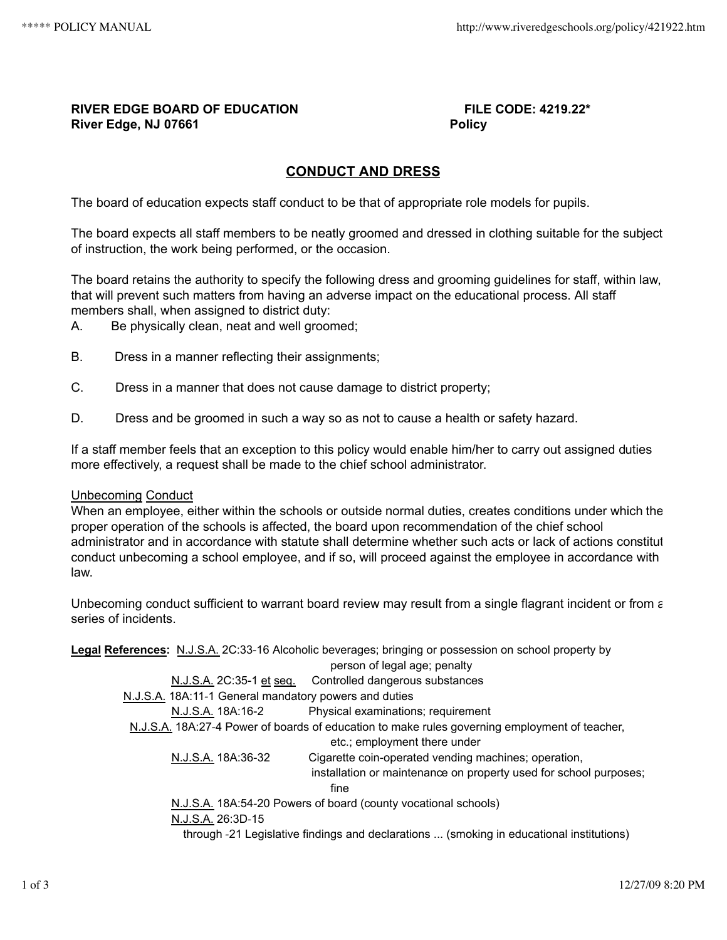## **RIVER EDGE BOARD OF EDUCATION FILE CODE: 4219.22\* River Edge, NJ 07661 Policy**

# **CONDUCT AND DRESS**

The board of education expects staff conduct to be that of appropriate role models for pupils.

The board expects all staff members to be neatly groomed and dressed in clothing suitable for the subject of instruction, the work being performed, or the occasion.

The board retains the authority to specify the following dress and grooming guidelines for staff, within law, that will prevent such matters from having an adverse impact on the educational process. All staff members shall, when assigned to district duty:

A. Be physically clean, neat and well groomed;

- B. Dress in a manner reflecting their assignments;
- C. Dress in a manner that does not cause damage to district property;
- D. Dress and be groomed in such a way so as not to cause a health or safety hazard.

If a staff member feels that an exception to this policy would enable him/her to carry out assigned duties more effectively, a request shall be made to the chief school administrator.

### Unbecoming Conduct

When an employee, either within the schools or outside normal duties, creates conditions under which the proper operation of the schools is affected, the board upon recommendation of the chief school administrator and in accordance with statute shall determine whether such acts or lack of actions constitut conduct unbecoming a school employee, and if so, will proceed against the employee in accordance with law.

Unbecoming conduct sufficient to warrant board review may result from a single flagrant incident or from a series of incidents.

**Legal References:** N.J.S.A. 2C:33‑16 Alcoholic beverages; bringing or possession on school property by person of legal age; penalty N.J.S.A. 2C:35-1 et seq. Controlled dangerous substances N.J.S.A. 18A:11‑1 General mandatory powers and duties N.J.S.A. 18A:16-2 Physical examinations; requirement N.J.S.A. 18A:27‑4 Power of boards of education to make rules governing employment of teacher, etc.; employment there under N.J.S.A. 18A:36-32 Cigarette coin-operated vending machines; operation, installation or maintenance on property used for school purposes; fine N.J.S.A. 18A:54‑20 Powers of board (county vocational schools) N.J.S.A. 26:3D‑15 through ‑21 Legislative findings and declarations ... (smoking in educational institutions)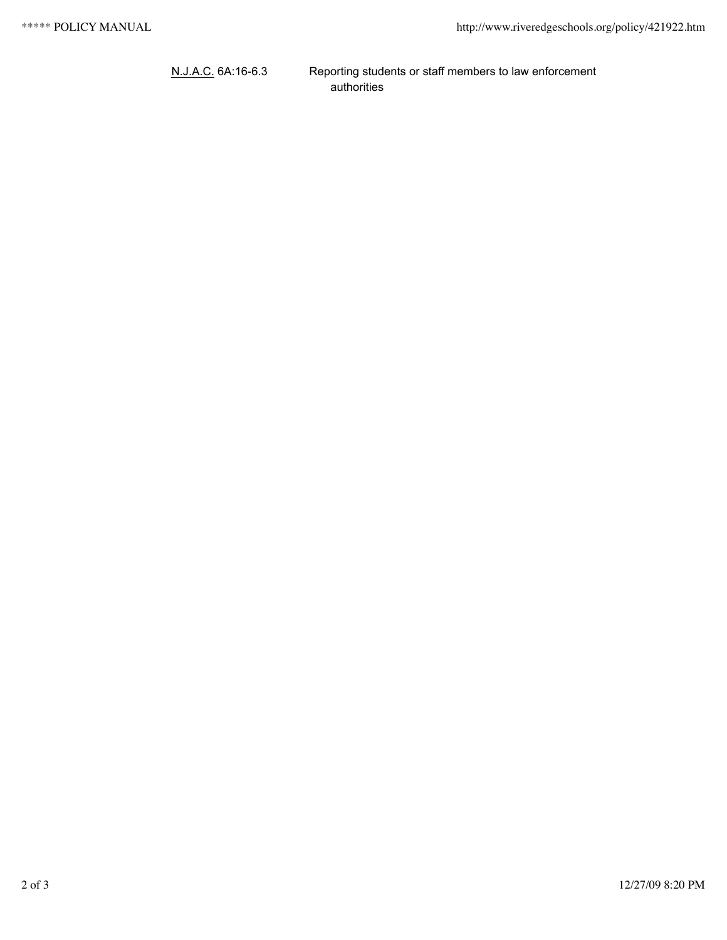N.J.A.C. 6A:16-6.3 Reporting students or staff members to law enforcement authorities